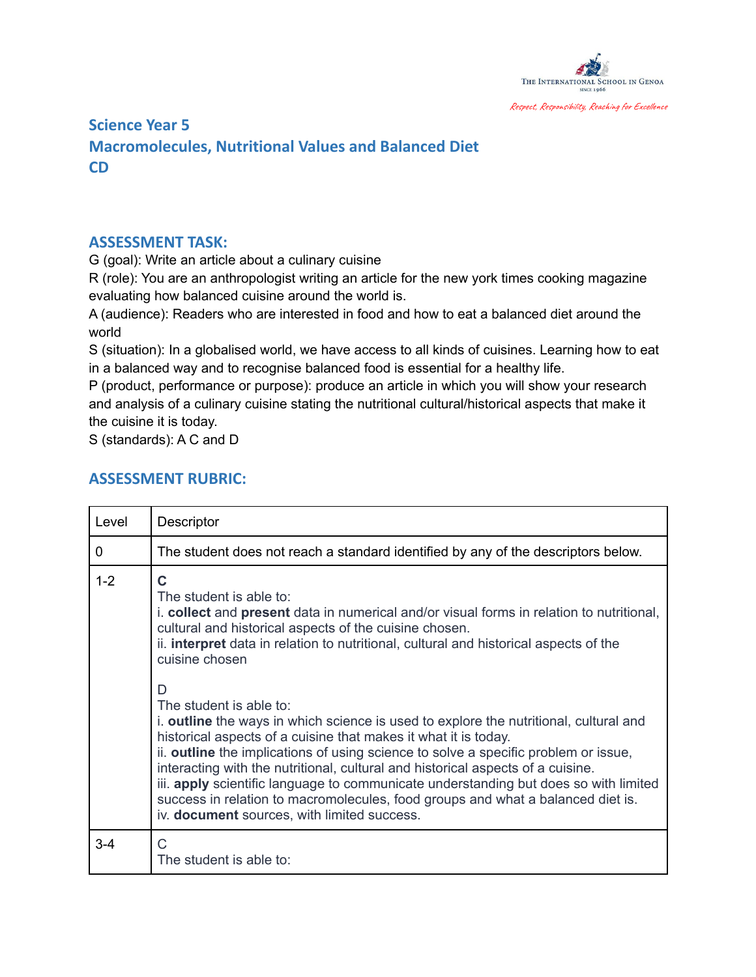

## **Science Year 5 Macromolecules, Nutritional Values and Balanced Diet CD**

## **ASSESSMENT TASK:**

G (goal): Write an article about a culinary cuisine

R (role): You are an anthropologist writing an article for the new york times cooking magazine evaluating how balanced cuisine around the world is.

A (audience): Readers who are interested in food and how to eat a balanced diet around the world

S (situation): In a globalised world, we have access to all kinds of cuisines. Learning how to eat in a balanced way and to recognise balanced food is essential for a healthy life.

P (product, performance or purpose): produce an article in which you will show your research and analysis of a culinary cuisine stating the nutritional cultural/historical aspects that make it the cuisine it is today.

S (standards): A C and D

## **ASSESSMENT RUBRIC:**

| Level   | Descriptor                                                                                                                                                                                                                                                                                                                                                                                                                                                                                                                                                                                   |
|---------|----------------------------------------------------------------------------------------------------------------------------------------------------------------------------------------------------------------------------------------------------------------------------------------------------------------------------------------------------------------------------------------------------------------------------------------------------------------------------------------------------------------------------------------------------------------------------------------------|
| 0       | The student does not reach a standard identified by any of the descriptors below.                                                                                                                                                                                                                                                                                                                                                                                                                                                                                                            |
| $1 - 2$ | C<br>The student is able to:<br>i. collect and present data in numerical and/or visual forms in relation to nutritional,<br>cultural and historical aspects of the cuisine chosen.<br>ii. <b>interpret</b> data in relation to nutritional, cultural and historical aspects of the<br>cuisine chosen                                                                                                                                                                                                                                                                                         |
|         | D<br>The student is able to:<br>i. outline the ways in which science is used to explore the nutritional, cultural and<br>historical aspects of a cuisine that makes it what it is today.<br>ii. outline the implications of using science to solve a specific problem or issue,<br>interacting with the nutritional, cultural and historical aspects of a cuisine.<br>iii. apply scientific language to communicate understanding but does so with limited<br>success in relation to macromolecules, food groups and what a balanced diet is.<br>iv. document sources, with limited success. |
| $3 - 4$ | C<br>The student is able to:                                                                                                                                                                                                                                                                                                                                                                                                                                                                                                                                                                 |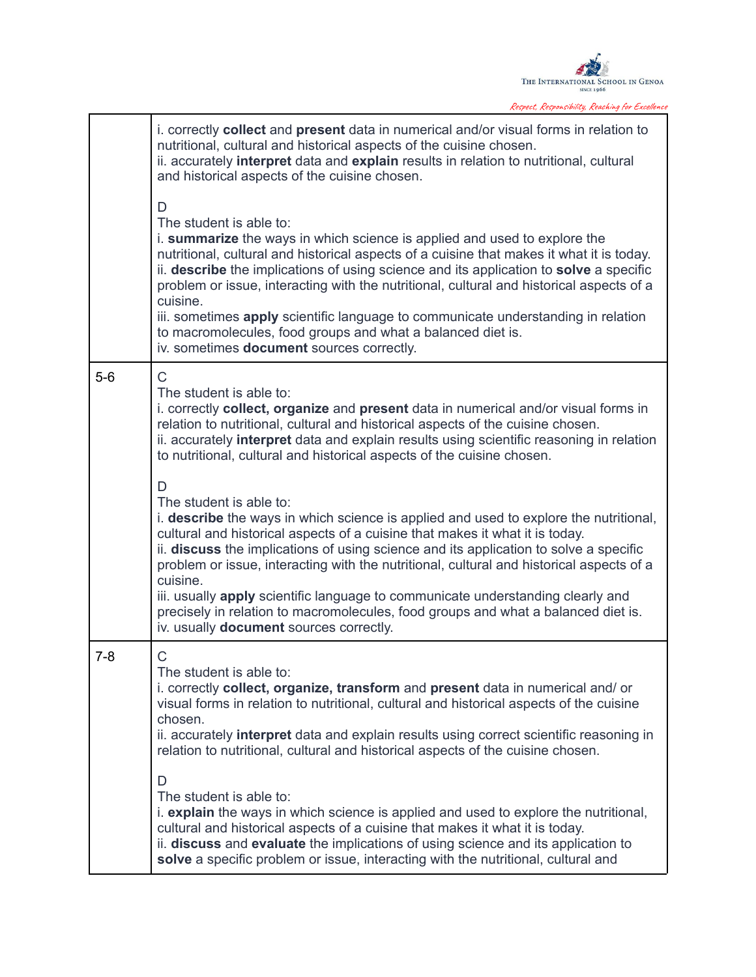

Respect, Responsibility, Reaching for Excellence

|         | i. correctly <b>collect</b> and <b>present</b> data in numerical and/or visual forms in relation to<br>nutritional, cultural and historical aspects of the cuisine chosen.<br>ii. accurately interpret data and explain results in relation to nutritional, cultural<br>and historical aspects of the cuisine chosen.                                                                                                                                                                                                                                                                                                     |
|---------|---------------------------------------------------------------------------------------------------------------------------------------------------------------------------------------------------------------------------------------------------------------------------------------------------------------------------------------------------------------------------------------------------------------------------------------------------------------------------------------------------------------------------------------------------------------------------------------------------------------------------|
|         | D<br>The student is able to:<br>i. summarize the ways in which science is applied and used to explore the<br>nutritional, cultural and historical aspects of a cuisine that makes it what it is today.<br>ii. describe the implications of using science and its application to solve a specific<br>problem or issue, interacting with the nutritional, cultural and historical aspects of a<br>cuisine.<br>iii. sometimes apply scientific language to communicate understanding in relation<br>to macromolecules, food groups and what a balanced diet is.<br>iv. sometimes document sources correctly.                 |
| $5-6$   | C<br>The student is able to:<br>i. correctly collect, organize and present data in numerical and/or visual forms in<br>relation to nutritional, cultural and historical aspects of the cuisine chosen.<br>ii. accurately interpret data and explain results using scientific reasoning in relation<br>to nutritional, cultural and historical aspects of the cuisine chosen.                                                                                                                                                                                                                                              |
|         | D<br>The student is able to:<br>i. describe the ways in which science is applied and used to explore the nutritional,<br>cultural and historical aspects of a cuisine that makes it what it is today.<br>ii. discuss the implications of using science and its application to solve a specific<br>problem or issue, interacting with the nutritional, cultural and historical aspects of a<br>cuisine.<br>iii. usually apply scientific language to communicate understanding clearly and<br>precisely in relation to macromolecules, food groups and what a balanced diet is.<br>iv. usually document sources correctly. |
| $7 - 8$ | C<br>The student is able to:<br>i. correctly collect, organize, transform and present data in numerical and/or<br>visual forms in relation to nutritional, cultural and historical aspects of the cuisine<br>chosen.<br>ii. accurately interpret data and explain results using correct scientific reasoning in<br>relation to nutritional, cultural and historical aspects of the cuisine chosen.                                                                                                                                                                                                                        |
|         | D<br>The student is able to:<br><i>i.</i> <b>explain</b> the ways in which science is applied and used to explore the nutritional,<br>cultural and historical aspects of a cuisine that makes it what it is today.<br>ii. discuss and evaluate the implications of using science and its application to<br>solve a specific problem or issue, interacting with the nutritional, cultural and                                                                                                                                                                                                                              |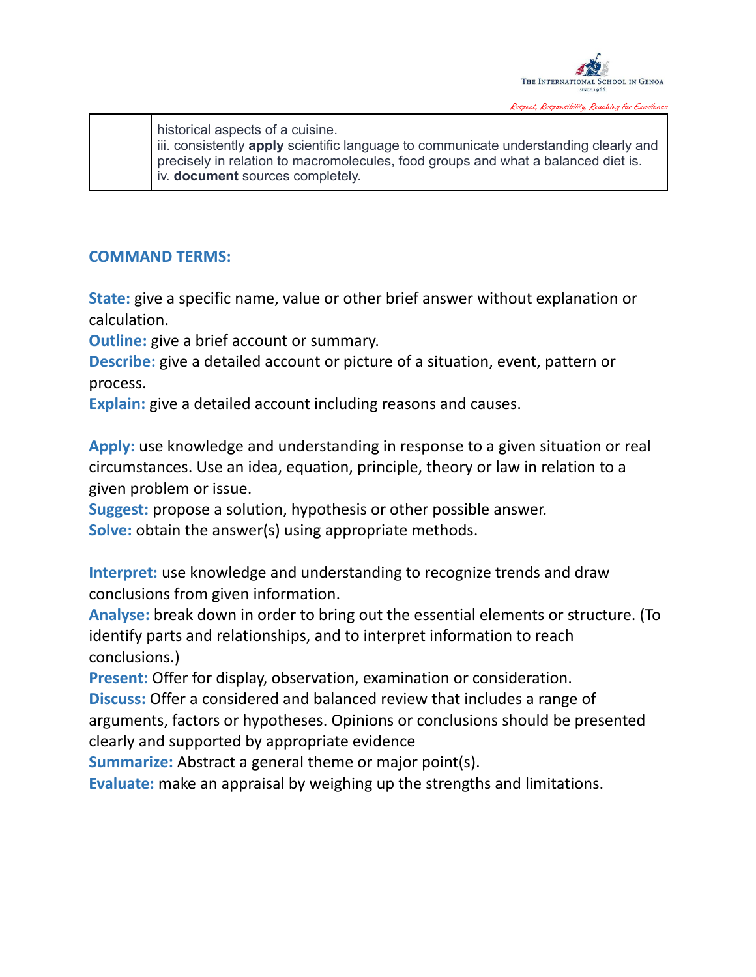

historical aspects of a cuisine. iii. consistently **apply** scientific language to communicate understanding clearly and precisely in relation to macromolecules, food groups and what a balanced diet is. iv. **document** sources completely.

## **COMMAND TERMS:**

**State:** give a specific name, value or other brief answer without explanation or calculation.

**Outline:** give a brief account or summary.

**Describe:** give a detailed account or picture of a situation, event, pattern or process.

**Explain:** give a detailed account including reasons and causes.

**Apply:** use knowledge and understanding in response to a given situation or real circumstances. Use an idea, equation, principle, theory or law in relation to a given problem or issue.

**Suggest:** propose a solution, hypothesis or other possible answer. **Solve:** obtain the answer(s) using appropriate methods.

**Interpret:** use knowledge and understanding to recognize trends and draw conclusions from given information.

**Analyse:** break down in order to bring out the essential elements or structure. (To identify parts and relationships, and to interpret information to reach conclusions.)

**Present:** Offer for display, observation, examination or consideration.

**Discuss:** Offer a considered and balanced review that includes a range of arguments, factors or hypotheses. Opinions or conclusions should be presented clearly and supported by appropriate evidence

**Summarize:** Abstract a general theme or major point(s).

**Evaluate:** make an appraisal by weighing up the strengths and limitations.